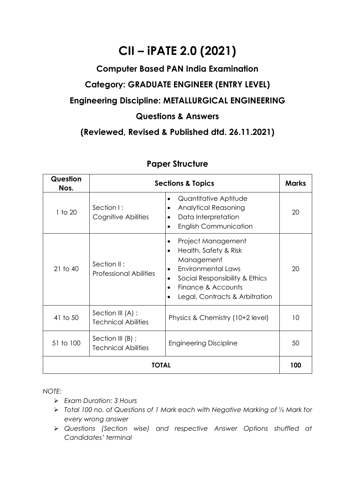# **CII – iPATE 2.0 (2021)**

### **Computer Based PAN India Examination**

## **Category: GRADUATE ENGINEER (ENTRY LEVEL)**

### **Engineering Discipline: METALLURGICAL ENGINEERING**

#### **Questions & Answers**

### **(Reviewed, Revised & Published dtd. 26.11.2021)**

| Question<br>Nos. | <b>Sections &amp; Topics</b>                    |                                                                                                                                                                                               |    |  |
|------------------|-------------------------------------------------|-----------------------------------------------------------------------------------------------------------------------------------------------------------------------------------------------|----|--|
| 1 to 20          | Section I:<br>Cognitive Abilities               | Quantitative Aptitude<br><b>Analytical Reasoning</b><br>٠<br>Data Interpretation<br><b>English Communication</b>                                                                              | 20 |  |
| $21$ to $40$     | Section II:<br><b>Professional Abilities</b>    | Project Management<br>Health, Safety & Risk<br>$\bullet$<br>Management<br><b>Environmental Laws</b><br>Social Responsibility & Ethics<br>Finance & Accounts<br>Legal, Contracts & Arbitration | 20 |  |
| 41 to 50         | Section III (A) :<br><b>Technical Abilities</b> | Physics & Chemistry (10+2 level)                                                                                                                                                              | 10 |  |
| 51 to 100        | Section III (B) :<br><b>Technical Abilities</b> | <b>Engineering Discipline</b>                                                                                                                                                                 | 50 |  |
| <b>TOTAL</b>     |                                                 |                                                                                                                                                                                               |    |  |

### **Paper Structure**

*NOTE:*

- ➢ *Exam Duration: 3 Hours*
- ➢ *Total 100 no. of Questions of 1 Mark each with Negative Marking of ½ Mark for every wrong answer*
- ➢ *Questions (Section wise) and respective Answer Options shuffled at Candidates' terminal*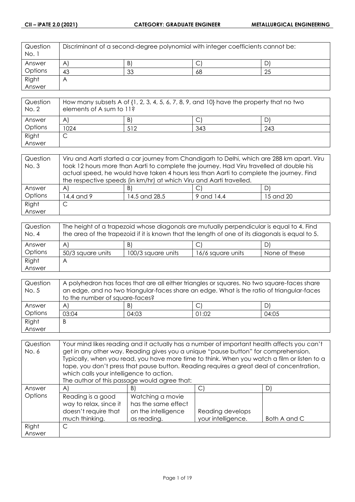| Question<br>No. 1 | Discriminant of a second-degree polynomial with integer coefficients cannot be: |    |    |    |
|-------------------|---------------------------------------------------------------------------------|----|----|----|
| Answer            | $\mathsf{A}$                                                                    | B) | ◡  | D  |
| Options           | 43                                                                              | 33 | 68 | 25 |
| Right             | $\bigwedge$                                                                     |    |    |    |
| Answer            |                                                                                 |    |    |    |

| Question<br>No. 2 | How many subsets A of $\{1, 2, 3, 4, 5, 6, 7, 8, 9,$ and $10\}$ have the property that no two<br>elements of A sum to 11? |     |     |     |
|-------------------|---------------------------------------------------------------------------------------------------------------------------|-----|-----|-----|
| Answer            | A                                                                                                                         | B)  |     |     |
| Options           | 1024                                                                                                                      | 512 | 343 | 243 |
| Right             | ◡                                                                                                                         |     |     |     |
| Answer            |                                                                                                                           |     |     |     |

| Question | Viru and Aarti started a car journey from Chandigarh to Delhi, which are 288 km apart. Viru |                                                                                         |            |           |
|----------|---------------------------------------------------------------------------------------------|-----------------------------------------------------------------------------------------|------------|-----------|
| No. 3    | took 12 hours more than Aarti to complete the journey. Had Viru travelled at double his     |                                                                                         |            |           |
|          |                                                                                             | actual speed, he would have taken 4 hours less than Aarti to complete the journey. Find |            |           |
|          | the respective speeds (in km/hr) at which Viru and Aarti travelled.                         |                                                                                         |            |           |
| Answer   | $\mathsf{A}$                                                                                | B)                                                                                      |            | DI        |
| Options  | 14.4 and 9                                                                                  | 14.5 and 28.5                                                                           | 9 and 14.4 | 15 and 20 |
| Right    |                                                                                             |                                                                                         |            |           |
| Answer   |                                                                                             |                                                                                         |            |           |

| Question<br>No. 4 | The height of a trapezoid whose diagonals are mutually perpendicular is equal to 4. Find<br>the area of the trapezoid if it is known that the length of one of its diagonals is equal to 5. |                    |                   |               |
|-------------------|---------------------------------------------------------------------------------------------------------------------------------------------------------------------------------------------|--------------------|-------------------|---------------|
| Answer            | $\mathsf{A}$                                                                                                                                                                                | B)                 |                   | DI            |
| Options           | 50/3 square units                                                                                                                                                                           | 100/3 square units | 16/6 square units | None of these |
| Right             | A                                                                                                                                                                                           |                    |                   |               |
| Answer            |                                                                                                                                                                                             |                    |                   |               |

| Question | A polyhedron has faces that are all either triangles or squares. No two square-faces share |       |       |       |
|----------|--------------------------------------------------------------------------------------------|-------|-------|-------|
| No. 5    | an edge, and no two triangular-faces share an edge. What is the ratio of triangular-faces  |       |       |       |
|          | to the number of square-faces?                                                             |       |       |       |
| Answer   | $\mathsf{A}$                                                                               | B)    | ◡     | D)    |
| Options  | 03:04                                                                                      | 04:03 | 01:02 | 04:05 |
| Right    | B                                                                                          |       |       |       |
| Answer   |                                                                                            |       |       |       |

| Question | Your mind likes reading and it actually has a number of important health affects you can't |                                                                                             |                    |              |
|----------|--------------------------------------------------------------------------------------------|---------------------------------------------------------------------------------------------|--------------------|--------------|
| No. 6    | get in any other way. Reading gives you a unique "pause button" for comprehension.         |                                                                                             |                    |              |
|          |                                                                                            | Typically, when you read, you have more time to think. When you watch a film or listen to a |                    |              |
|          |                                                                                            | tape, you don't press that pause button. Reading requires a great deal of concentration,    |                    |              |
|          | which calls your intelligence to action.                                                   |                                                                                             |                    |              |
|          |                                                                                            | The author of this passage would agree that:                                                |                    |              |
| Answer   | $\mathsf{A}$                                                                               | B)                                                                                          | C)                 | D)           |
| Options  | Reading is a good                                                                          | Watching a movie                                                                            |                    |              |
|          | way to relax, since it                                                                     | has the same effect                                                                         |                    |              |
|          | doesn't require that                                                                       | on the intelligence                                                                         | Reading develops   |              |
|          | much thinking.                                                                             | as reading.                                                                                 | your intelligence. | Both A and C |
| Right    | C                                                                                          |                                                                                             |                    |              |
| Answer   |                                                                                            |                                                                                             |                    |              |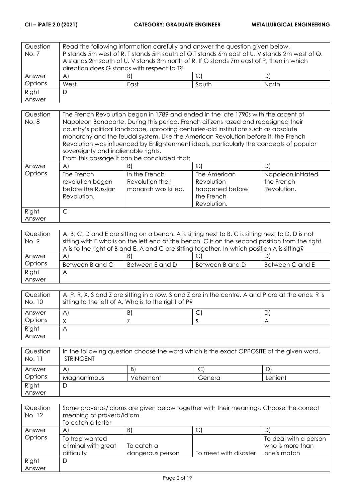| Question | Read the following information carefully and answer the question given below. |    |                                                                                             |    |
|----------|-------------------------------------------------------------------------------|----|---------------------------------------------------------------------------------------------|----|
| No. 7    |                                                                               |    | P stands 5m west of R. T stands 5m south of Q.T stands 6m east of U. V stands 2m west of Q. |    |
|          |                                                                               |    | A stands 2m south of U. V stands 3m north of R. If G stands 7m east of P, then in which     |    |
|          | direction does G stands with respect to T?                                    |    |                                                                                             |    |
| Answer   | A)                                                                            | B) | ◡                                                                                           | DI |
| Options  | West<br>South<br>North<br>East                                                |    |                                                                                             |    |
| Right    | D                                                                             |    |                                                                                             |    |
| Answer   |                                                                               |    |                                                                                             |    |

| Question | The French Revolution began in 1789 and ended in the late 1790s with the ascent of |                                                                                                                                                                            |                 |                    |  |
|----------|------------------------------------------------------------------------------------|----------------------------------------------------------------------------------------------------------------------------------------------------------------------------|-----------------|--------------------|--|
| No. 8    |                                                                                    | Napoleon Bonaparte. During this period, French citizens razed and redesigned their                                                                                         |                 |                    |  |
|          |                                                                                    | country's political landscape, uprooting centuries-old institutions such as absolute<br>monarchy and the feudal system. Like the American Revolution before it, the French |                 |                    |  |
|          |                                                                                    | Revolution was influenced by Enlightenment ideals, particularly the concepts of popular                                                                                    |                 |                    |  |
|          | sovereignty and inalienable rights.                                                |                                                                                                                                                                            |                 |                    |  |
|          |                                                                                    | From this passage it can be concluded that:                                                                                                                                |                 |                    |  |
| Answer   | $\mathsf{A}$                                                                       | B)                                                                                                                                                                         |                 | D                  |  |
| Options  | The French                                                                         | In the French                                                                                                                                                              | The American    | Napoleon initiated |  |
|          | revolution began                                                                   | Revolution their                                                                                                                                                           | Revolution      | the French         |  |
|          | before the Russian                                                                 | monarch was killed.                                                                                                                                                        | happened before | Revolution.        |  |
|          | Revolution.<br>the French                                                          |                                                                                                                                                                            |                 |                    |  |
|          | Revolution.                                                                        |                                                                                                                                                                            |                 |                    |  |
| Right    | $\subset$                                                                          |                                                                                                                                                                            |                 |                    |  |
| Answer   |                                                                                    |                                                                                                                                                                            |                 |                    |  |

| Question | A, B, C, D and E are sitting on a bench. A is sitting next to B, C is sitting next to D, D is not |                 |                 |                 |
|----------|---------------------------------------------------------------------------------------------------|-----------------|-----------------|-----------------|
| No. 9    | sitting with E who is on the left end of the bench. C is on the second position from the right.   |                 |                 |                 |
|          | A is to the right of B and E. A and C are sitting together. In which position A is sitting?       |                 |                 |                 |
| Answer   | $\mathsf{A}$                                                                                      | B)              | ◡               | D)              |
| Options  | Between B and C                                                                                   | Between E and D | Between B and D | Between C and E |
| Right    | Α                                                                                                 |                 |                 |                 |
| Answer   |                                                                                                   |                 |                 |                 |

| Question<br>No. 10 | A, P, R, X, S and Z are sitting in a row. S and Z are in the centre. A and P are at the ends. R is<br>sitting to the left of A. Who is to the right of P? |    |  |   |
|--------------------|-----------------------------------------------------------------------------------------------------------------------------------------------------------|----|--|---|
| Answer             | A                                                                                                                                                         | B) |  | D |
| Options            |                                                                                                                                                           |    |  |   |
| Right              | Α                                                                                                                                                         |    |  |   |
| Answer             |                                                                                                                                                           |    |  |   |

| Question<br>No. 11 | In the following question choose the word which is the exact OPPOSITE of the given word.<br><b>STRINGENT</b> |          |         |         |
|--------------------|--------------------------------------------------------------------------------------------------------------|----------|---------|---------|
| Answer             | A                                                                                                            | B)       |         |         |
| Options            | Magnanimous                                                                                                  | Vehement | General | Lenient |
| Right              |                                                                                                              |          |         |         |
| Answer             |                                                                                                              |          |         |         |

| Question<br>No. 12 | Some proverbs/idioms are given below together with their meanings. Choose the correct<br>meaning of proverb/idiom.<br>To catch a tartar |                                |                       |                                                          |
|--------------------|-----------------------------------------------------------------------------------------------------------------------------------------|--------------------------------|-----------------------|----------------------------------------------------------|
| Answer             | A                                                                                                                                       | B)                             | ◡                     |                                                          |
| Options            | To trap wanted<br>criminal with great<br>difficulty                                                                                     | To catch a<br>dangerous person | To meet with disaster | To deal with a person<br>who is more than<br>one's match |
| Right              | D                                                                                                                                       |                                |                       |                                                          |
| Answer             |                                                                                                                                         |                                |                       |                                                          |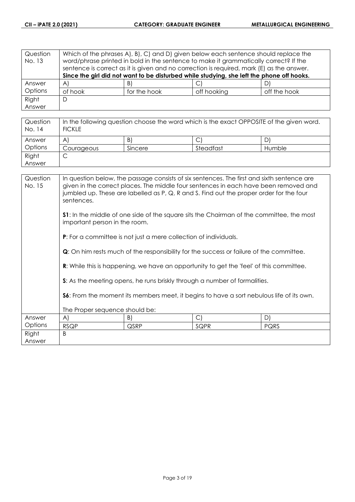| Question<br>No. 13 | Which of the phrases A, B, C, and D, given below each sentence should replace the<br>word/phrase printed in bold in the sentence to make it grammatically correct? If the<br>sentence is correct as it is given and no correction is required, mark (E) as the answer. |              |             |              |  |
|--------------------|------------------------------------------------------------------------------------------------------------------------------------------------------------------------------------------------------------------------------------------------------------------------|--------------|-------------|--------------|--|
|                    | Since the girl did not want to be disturbed while studying, she left the phone off hooks.                                                                                                                                                                              |              |             |              |  |
| Answer             | $\forall$                                                                                                                                                                                                                                                              | B)           |             | ا (ل         |  |
| Options            | of hook                                                                                                                                                                                                                                                                | for the hook | off hooking | off the hook |  |
| Right              | D                                                                                                                                                                                                                                                                      |              |             |              |  |
| Answer             |                                                                                                                                                                                                                                                                        |              |             |              |  |

| Question<br>No. 14 | In the following question choose the word which is the exact OPPOSITE of the given word.<br><b>FICKLE</b> |         |           |        |  |
|--------------------|-----------------------------------------------------------------------------------------------------------|---------|-----------|--------|--|
| Answer             | A                                                                                                         | B)      |           | D      |  |
| Options            | Courageous                                                                                                | Sincere | Steadfast | Humble |  |
| Right              | ◡                                                                                                         |         |           |        |  |
| Answer             |                                                                                                           |         |           |        |  |

| Question<br>No. 15 | In question below, the passage consists of six sentences. The first and sixth sentence are<br>given in the correct places. The middle four sentences in each have been removed and<br>jumbled up. These are labelled as P, Q, R and S. Find out the proper order for the four<br>sentences. |                                                                         |                                                                                                 |      |  |
|--------------------|---------------------------------------------------------------------------------------------------------------------------------------------------------------------------------------------------------------------------------------------------------------------------------------------|-------------------------------------------------------------------------|-------------------------------------------------------------------------------------------------|------|--|
|                    | <b>S1</b> : In the middle of one side of the square sits the Chairman of the committee, the most<br>important person in the room.                                                                                                                                                           |                                                                         |                                                                                                 |      |  |
|                    |                                                                                                                                                                                                                                                                                             | <b>P:</b> For a committee is not just a mere collection of individuals. |                                                                                                 |      |  |
|                    |                                                                                                                                                                                                                                                                                             |                                                                         | <b>Q</b> : On him rests much of the responsibility for the success or failure of the committee. |      |  |
|                    |                                                                                                                                                                                                                                                                                             |                                                                         | <b>R:</b> While this is happening, we have an opportunity to get the 'feel' of this committee.  |      |  |
|                    |                                                                                                                                                                                                                                                                                             |                                                                         | S: As the meeting opens, he runs briskly through a number of formalities.                       |      |  |
|                    | <b>S6:</b> From the moment its members meet, it begins to have a sort nebulous life of its own.                                                                                                                                                                                             |                                                                         |                                                                                                 |      |  |
|                    | The Proper sequence should be:                                                                                                                                                                                                                                                              |                                                                         |                                                                                                 |      |  |
| Answer             | $\mathsf{A}$                                                                                                                                                                                                                                                                                | B)                                                                      | $\bigcirc$                                                                                      | D)   |  |
| Options            | <b>RSQP</b>                                                                                                                                                                                                                                                                                 | QSRP                                                                    | SQPR                                                                                            | PQRS |  |
| Right              | B                                                                                                                                                                                                                                                                                           |                                                                         |                                                                                                 |      |  |
| Answer             |                                                                                                                                                                                                                                                                                             |                                                                         |                                                                                                 |      |  |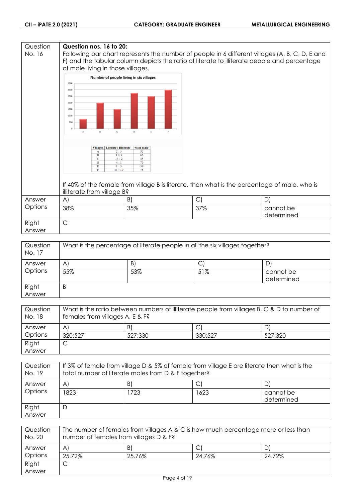| Following bar chart represents the number of people in 6 different villages (A, B, C, D, E and<br>F) and the tabular column depicts the ratio of literate to illiterate people and percentage |
|-----------------------------------------------------------------------------------------------------------------------------------------------------------------------------------------------|
|                                                                                                                                                                                               |
| If 40% of the female from village B is literate, then what is the percentage of male, who is                                                                                                  |
|                                                                                                                                                                                               |
|                                                                                                                                                                                               |
|                                                                                                                                                                                               |
|                                                                                                                                                                                               |

| Question<br>No. 17 | What is the percentage of literate people in all the six villages together? |     |     |                         |
|--------------------|-----------------------------------------------------------------------------|-----|-----|-------------------------|
| Answer             | A                                                                           | B.  |     |                         |
| Options            | 55%                                                                         | 53% | 51% | cannot be<br>determined |
| Right<br>Answer    | B                                                                           |     |     |                         |

| Question<br>No. 18 | What is the ratio between numbers of illiterate people from villages B, C & D to number of<br>females from villages A, E & F? |         |         |         |
|--------------------|-------------------------------------------------------------------------------------------------------------------------------|---------|---------|---------|
| Answer             | A                                                                                                                             | B)      |         | D.      |
| Options            | 320:527                                                                                                                       | 527:330 | 330:527 | 527:320 |
| Right              | ◡                                                                                                                             |         |         |         |
| Answer             |                                                                                                                               |         |         |         |

| Question<br>No. 19 | If 3% of female from village D & 5% of female from village E are literate then what is the<br>total number of literate males from D & F together? |      |      |                         |  |
|--------------------|---------------------------------------------------------------------------------------------------------------------------------------------------|------|------|-------------------------|--|
| Answer             | D,<br>B)<br>$\mathsf{A}^{\prime}$                                                                                                                 |      |      |                         |  |
| Options            | 1823.                                                                                                                                             | 1723 | 1623 | cannot be<br>determined |  |
| Right<br>Answer    | Ľ                                                                                                                                                 |      |      |                         |  |

| Question<br>No. 20 | The number of females from villages A & C is how much percentage more or less than<br>number of females from villages D & F? |        |        |        |
|--------------------|------------------------------------------------------------------------------------------------------------------------------|--------|--------|--------|
| Answer             | $\mathsf{A}$                                                                                                                 | B)     |        |        |
| Options            | 25.72%                                                                                                                       | 25.76% | 24.76% | 24.72% |
| Right              | ٮ                                                                                                                            |        |        |        |
| Answer             |                                                                                                                              |        |        |        |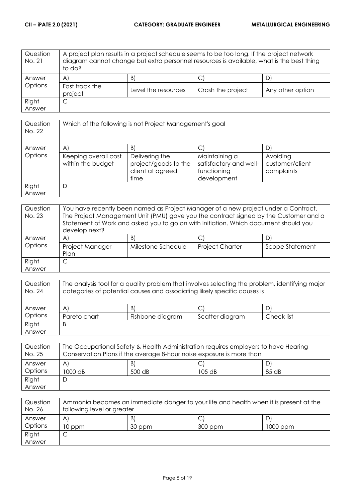| Question<br>No. 21 | A project plan results in a project schedule seems to be too long. If the project network<br>diagram cannot change but extra personnel resources is available, what is the best thing<br>to do? |                     |                   |                  |
|--------------------|-------------------------------------------------------------------------------------------------------------------------------------------------------------------------------------------------|---------------------|-------------------|------------------|
| Answer             | $\mathsf{A}$                                                                                                                                                                                    | B)                  | J                 |                  |
| Options            | Fast track the<br>project                                                                                                                                                                       | Level the resources | Crash the project | Any other option |
| Right              | С                                                                                                                                                                                               |                     |                   |                  |
| Answer             |                                                                                                                                                                                                 |                     |                   |                  |

| Question<br>No. 22 | Which of the following is not Project Management's goal |                                                                    |                                                                       |                                           |  |
|--------------------|---------------------------------------------------------|--------------------------------------------------------------------|-----------------------------------------------------------------------|-------------------------------------------|--|
| Answer             | $\mathsf{A}$                                            | $\vert B \vert$                                                    |                                                                       | D                                         |  |
| Options            | Keeping overall cost<br>within the budget               | Delivering the<br>project/goods to the<br>client at agreed<br>time | Maintaining a<br>satisfactory and well-<br>functioning<br>development | Avoiding<br>customer/client<br>complaints |  |
| Right<br>Answer    | D                                                       |                                                                    |                                                                       |                                           |  |

| Question<br>No. 23 | You have recently been named as Project Manager of a new project under a Contract.<br>The Project Management Unit (PMU) gave you the contract signed by the Customer and a<br>Statement of Work and asked you to go on with initiation. Which document should you<br>develop next? |                    |                        |                 |
|--------------------|------------------------------------------------------------------------------------------------------------------------------------------------------------------------------------------------------------------------------------------------------------------------------------|--------------------|------------------------|-----------------|
| Answer             | A                                                                                                                                                                                                                                                                                  | B)                 |                        |                 |
| Options            | Project Manager<br>Plan                                                                                                                                                                                                                                                            | Milestone Schedule | <b>Project Charter</b> | Scope Statement |
| Right              |                                                                                                                                                                                                                                                                                    |                    |                        |                 |
| Answer             |                                                                                                                                                                                                                                                                                    |                    |                        |                 |

| Question<br>No. 24 | The analysis tool for a quality problem that involves selecting the problem, identifying major<br>categories of potential causes and associating likely specific causes is |                  |                 |            |
|--------------------|----------------------------------------------------------------------------------------------------------------------------------------------------------------------------|------------------|-----------------|------------|
| Answer             | $\mathsf{A}$                                                                                                                                                               | B)               |                 |            |
| Options            | Pareto chart                                                                                                                                                               | Fishbone diagram | Scatter diagram | Check list |
| Right              | B                                                                                                                                                                          |                  |                 |            |
| Answer             |                                                                                                                                                                            |                  |                 |            |

| Question<br>No. 25 | The Occupational Safety & Health Administration requires employers to have Hearing<br>Conservation Plans if the average 8-hour noise exposure is more than |        |          |       |
|--------------------|------------------------------------------------------------------------------------------------------------------------------------------------------------|--------|----------|-------|
| Answer             | A                                                                                                                                                          | B)     |          |       |
| Options            | 1000 dB                                                                                                                                                    | 500 dB | $105$ dB | 85 dB |
| Right              |                                                                                                                                                            |        |          |       |
| Answer             |                                                                                                                                                            |        |          |       |

| Question<br>No. 26 | Ammonia becomes an immediate danger to your life and health when it is present at the<br>following level or greater |        |         |          |
|--------------------|---------------------------------------------------------------------------------------------------------------------|--------|---------|----------|
| Answer             | A                                                                                                                   | B      |         |          |
| Options            | 10 ppm                                                                                                              | 30 ppm | 300 ppm | 1000 ppm |
| Right              |                                                                                                                     |        |         |          |
| Answer             |                                                                                                                     |        |         |          |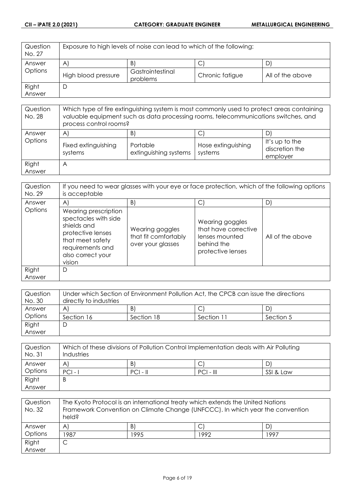| Question<br>No. 27 | Exposure to high levels of noise can lead to which of the following: |                              |                 |                  |
|--------------------|----------------------------------------------------------------------|------------------------------|-----------------|------------------|
| Answer             | $\mathsf{A}$                                                         | B)                           | ◡               |                  |
| Options            | High blood pressure                                                  | Gastrointestinal<br>problems | Chronic fatigue | All of the above |
| Right              |                                                                      |                              |                 |                  |
| Answer             |                                                                      |                              |                 |                  |

| Question<br>No. 28 | Which type of fire extinguishing system is most commonly used to protect areas containing<br>valuable equipment such as data processing rooms, telecommunications switches, and<br>process control rooms? |                                         |                               |                                              |
|--------------------|-----------------------------------------------------------------------------------------------------------------------------------------------------------------------------------------------------------|-----------------------------------------|-------------------------------|----------------------------------------------|
| Answer<br>Options  | A<br>Fixed extinguishing<br>systems                                                                                                                                                                       | B)<br>Portable<br>extinguishing systems | Hose extinguishing<br>systems | It's up to the<br>discretion the<br>employer |
| Right<br>Answer    | A                                                                                                                                                                                                         |                                         |                               |                                              |

| Question<br>No. 29 | If you need to wear glasses with your eye or face protection, which of the following options<br>is acceptable                                           |                                                              |                                                                                              |                  |
|--------------------|---------------------------------------------------------------------------------------------------------------------------------------------------------|--------------------------------------------------------------|----------------------------------------------------------------------------------------------|------------------|
| Answer             | $\mathsf{A}$                                                                                                                                            | B)                                                           | С                                                                                            | D                |
| Options            | Wearing prescription<br>spectacles with side<br>shields and<br>protective lenses<br>that meet safety<br>requirements and<br>also correct your<br>vision | Wearing goggles<br>that fit comfortably<br>over your glasses | Wearing goggles<br>that have corrective<br>lenses mounted<br>behind the<br>protective lenses | All of the above |
| Right<br>Answer    | D                                                                                                                                                       |                                                              |                                                                                              |                  |

| Question | Under which Section of Environment Pollution Act, the CPCB can issue the directions |            |            |           |
|----------|-------------------------------------------------------------------------------------|------------|------------|-----------|
| No. 30   | directly to industries                                                              |            |            |           |
| Answer   | A                                                                                   | B)         | ◡          | D         |
| Options  | Section 16                                                                          | Section 18 | Section 11 | Section 5 |
| Right    | ┕                                                                                   |            |            |           |
| Answer   |                                                                                     |            |            |           |

| Question<br>No. 31 | Which of these divisions of Pollution Control Implementation deals with Air Polluting<br>Industries |            |             |           |
|--------------------|-----------------------------------------------------------------------------------------------------|------------|-------------|-----------|
| Answer             | A                                                                                                   | B)         | С           |           |
| Options            | $PCI -$                                                                                             | $PCI - II$ | $PCI - III$ | SSI & Law |
| Right              | B                                                                                                   |            |             |           |
| Answer             |                                                                                                     |            |             |           |

| Question<br>No. 32 | The Kyoto Protocol is an international treaty which extends the United Nations<br>Framework Convention on Climate Change (UNFCCC). In which year the convention<br>held? |      |      |      |
|--------------------|--------------------------------------------------------------------------------------------------------------------------------------------------------------------------|------|------|------|
| Answer             | $\mathsf{A}^{\mathsf{c}}$                                                                                                                                                | B)   |      |      |
| Options            | 1987                                                                                                                                                                     | 1995 | 1992 | 1997 |
| Right              |                                                                                                                                                                          |      |      |      |
| Answer             |                                                                                                                                                                          |      |      |      |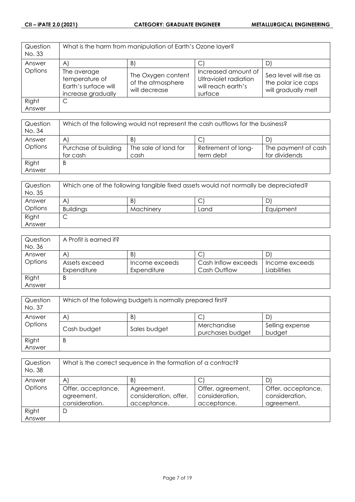| Question<br>No. 33 |                                                                             | What is the harm from manipulation of Earth's Ozone layer? |                                                                               |                                                                     |
|--------------------|-----------------------------------------------------------------------------|------------------------------------------------------------|-------------------------------------------------------------------------------|---------------------------------------------------------------------|
| Answer             | A                                                                           | B                                                          | U                                                                             |                                                                     |
| Options            | The average<br>temperature of<br>Earth's surface will<br>increase gradually | The Oxygen content<br>of the atmosphere<br>will decrease   | Increased amount of<br>Ultraviolet radiation<br>will reach earth's<br>surface | Sea level will rise as<br>the polar ice caps<br>will gradually melt |
| Right              | С                                                                           |                                                            |                                                                               |                                                                     |
| Answer             |                                                                             |                                                            |                                                                               |                                                                     |

| Question<br>No. 34 | Which of the following would not represent the cash outflows for the business? |                      |                     |                     |
|--------------------|--------------------------------------------------------------------------------|----------------------|---------------------|---------------------|
| Answer             | A                                                                              | B                    |                     |                     |
| Options            | Purchase of building                                                           | The sale of land for | Retirement of long- | The payment of cash |
|                    | for cash                                                                       | cash                 | term debt           | for dividends       |
| Right              | B                                                                              |                      |                     |                     |
| Answer             |                                                                                |                      |                     |                     |

| Question<br>No. 35 | Which one of the following tangible fixed assets would not normally be depreciated? |           |      |           |
|--------------------|-------------------------------------------------------------------------------------|-----------|------|-----------|
| Answer             | A                                                                                   | B         | ◡    | D         |
| Options            | <b>Buildings</b>                                                                    | Machinery | Land | Equipment |
| Right              | ◡                                                                                   |           |      |           |
| Answer             |                                                                                     |           |      |           |

| Question | A Profit is earned if? |                |                     |                |
|----------|------------------------|----------------|---------------------|----------------|
| No. 36   |                        |                |                     |                |
| Answer   | A                      | $\mathsf{B}$   | С                   | D              |
| Options  | Assets exceed          | Income exceeds | Cash Inflow exceeds | Income exceeds |
|          | Expenditure            | Expenditure    | Cash Outflow        | Liabilities    |
| Right    | Β                      |                |                     |                |
| Answer   |                        |                |                     |                |

| Question<br>No. 37 | Which of the following budgets is normally prepared first? |              |                                 |                           |
|--------------------|------------------------------------------------------------|--------------|---------------------------------|---------------------------|
| Answer             | B)<br>$\mathsf{A}$<br>D                                    |              |                                 |                           |
| Options            | Cash budget                                                | Sales budget | Merchandise<br>purchases budget | Selling expense<br>budget |
| Right<br>Answer    | B                                                          |              |                                 |                           |

| Question<br>No. 38 | What is the correct sequence in the formation of a contract? |                                                    |                                                    |                                                    |
|--------------------|--------------------------------------------------------------|----------------------------------------------------|----------------------------------------------------|----------------------------------------------------|
| Answer             | $\mathsf{A}^{\prime}$                                        | B                                                  |                                                    | D                                                  |
| Options            | Offer, acceptance,<br>agreement,<br>consideration.           | Agreement,<br>consideration, offer,<br>acceptance. | Offer, agreement,<br>consideration,<br>acceptance. | Offer, acceptance,<br>consideration,<br>agreement. |
| Right              | D                                                            |                                                    |                                                    |                                                    |
| Answer             |                                                              |                                                    |                                                    |                                                    |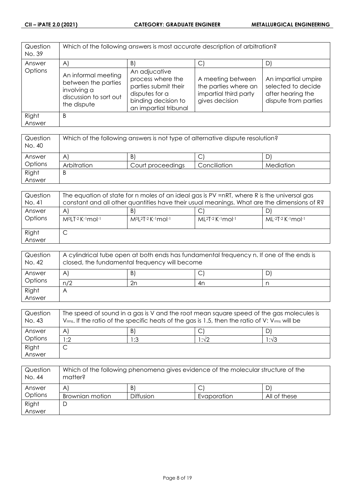| Question<br>No. 39 | Which of the following answers is most accurate description of arbitration?                        |                                                                                                                              |                                                                                      |                                                                                        |
|--------------------|----------------------------------------------------------------------------------------------------|------------------------------------------------------------------------------------------------------------------------------|--------------------------------------------------------------------------------------|----------------------------------------------------------------------------------------|
| Answer             | $\mathsf{A}$                                                                                       | $\vert B \vert$                                                                                                              | C.                                                                                   | D)                                                                                     |
| Options            | An informal meeting<br>between the parties<br>involving a<br>discussion to sort out<br>the dispute | An adjucative<br>process where the<br>parties submit their<br>disputes for a<br>binding decision to<br>an impartial tribunal | A meeting between<br>the parties where an<br>impartial third party<br>gives decision | An impartial umpire<br>selected to decide<br>after hearing the<br>dispute from parties |
| Right<br>Answer    | B                                                                                                  |                                                                                                                              |                                                                                      |                                                                                        |

| Question<br>No. 40 | Which of the following answers is not type of alternative dispute resolution? |                   |              |           |
|--------------------|-------------------------------------------------------------------------------|-------------------|--------------|-----------|
| Answer             | $\mathsf{A}^{\prime}$                                                         | B)                | ◡            |           |
| Options            | Arbitration                                                                   | Court proceedings | Conciliation | Mediation |
| Right              | B                                                                             |                   |              |           |
| Answer             |                                                                               |                   |              |           |

| Question<br>No. 41 | The equation of state for n moles of an ideal gas is PV =nRT, where R is the universal gas<br>constant and all other quantities have their usual meanings. What are the dimensions of R? |                                  |                             |                     |
|--------------------|------------------------------------------------------------------------------------------------------------------------------------------------------------------------------------------|----------------------------------|-----------------------------|---------------------|
| Answer<br>Options  | A<br>MºLT-2 K-1 mol-1                                                                                                                                                                    | B<br>$M^{0}[2T-2K^{-1}mol^{-1}]$ | $ML^{2}T-2$ K $-1$ mol $-1$ | $ML-2T-2$ K-1 mol-1 |
| Right<br>Answer    | ◡                                                                                                                                                                                        |                                  |                             |                     |

| Question<br>No. 42 | A cylindrical tube open at both ends has fundamental frequency n. If one of the ends is<br>closed, the fundamental frequency will become |    |     |    |
|--------------------|------------------------------------------------------------------------------------------------------------------------------------------|----|-----|----|
| Answer             | A                                                                                                                                        | B) | . J | D' |
| Options            | n/2                                                                                                                                      | 2n | 4n  |    |
| Right              |                                                                                                                                          |    |     |    |
| Answer             |                                                                                                                                          |    |     |    |

| Question<br>No. 43 | The speed of sound in a gas is V and the root mean square speed of the gas molecules is<br>$V_{rms}$ . If the ratio of the specific heats of the gas is 1.5, then the ratio of V: $V_{rms}$ will be |     |      |               |
|--------------------|-----------------------------------------------------------------------------------------------------------------------------------------------------------------------------------------------------|-----|------|---------------|
| Answer             | A                                                                                                                                                                                                   | B   |      |               |
| Options            | :2                                                                                                                                                                                                  | 1:3 | 1:√2 | $1:1\sqrt{3}$ |
| Right              |                                                                                                                                                                                                     |     |      |               |
| Answer             |                                                                                                                                                                                                     |     |      |               |

| Question<br>No. 44 | Which of the following phenomena gives evidence of the molecular structure of the<br>matter? |                  |             |              |
|--------------------|----------------------------------------------------------------------------------------------|------------------|-------------|--------------|
| Answer             | A                                                                                            | B)               |             |              |
| Options            | Brownian motion                                                                              | <b>Diffusion</b> | Evaporation | All of these |
| Right              | ∟                                                                                            |                  |             |              |
| Answer             |                                                                                              |                  |             |              |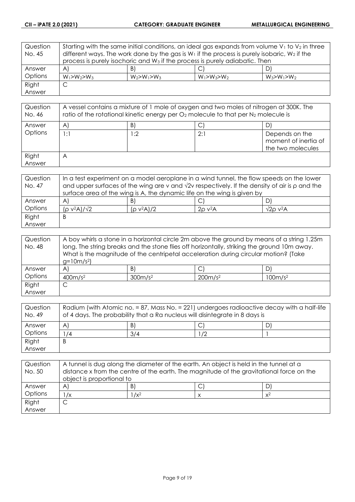| Question | Starting with the same initial conditions, an ideal gas expands from volume $V_1$ to $V_2$ in three |                                                                                                   |                   |                   |  |
|----------|-----------------------------------------------------------------------------------------------------|---------------------------------------------------------------------------------------------------|-------------------|-------------------|--|
| No. 45   |                                                                                                     | different ways. The work done by the gas is $W_1$ if the process is purely isobaric, $W_2$ if the |                   |                   |  |
|          | process is purely isochoric and W <sub>3</sub> if the process is purely adiabatic. Then             |                                                                                                   |                   |                   |  |
| Answer   | $\mathsf{A}$                                                                                        | B)                                                                                                |                   | DI                |  |
| Options  | $W_1 > W_2 > W_3$                                                                                   | $W_2 > W_1 > W_3$                                                                                 | $W_1 > W_3 > W_2$ | $W_3 > W_1 > W_2$ |  |
| Right    | C                                                                                                   |                                                                                                   |                   |                   |  |
| Answer   |                                                                                                     |                                                                                                   |                   |                   |  |

| Question<br>No. 46 | A vessel contains a mixture of 1 mole of oxygen and two moles of nitrogen at 300K. The<br>ratio of the rotational kinetic energy per $O_2$ molecule to that per $N_2$ molecule is |     |     |                                                             |
|--------------------|-----------------------------------------------------------------------------------------------------------------------------------------------------------------------------------|-----|-----|-------------------------------------------------------------|
| Answer             | $\mathsf{A}^{\cdot}$                                                                                                                                                              | B)  |     |                                                             |
| Options            | 1:1                                                                                                                                                                               | ∣:2 | 2:1 | Depends on the<br>moment of inertia of<br>the two molecules |
| Right<br>Answer    | Α                                                                                                                                                                                 |     |     |                                                             |

| Question | In a test experiment on a model aeroplane in a wind tunnel, the flow speeds on the lower                   |               |              |                               |
|----------|------------------------------------------------------------------------------------------------------------|---------------|--------------|-------------------------------|
| No. 47   | and upper surfaces of the wing are v and $\sqrt{2}v$ respectively. If the density of air is $\rho$ and the |               |              |                               |
|          | surface area of the wing is A, the dynamic life on the wing is given by                                    |               |              |                               |
| Answer   | $\mathsf{A}^{\prime}$                                                                                      | B)            |              |                               |
| Options  | $(p v^2 A)/\sqrt{2}$                                                                                       | $(p v^2 A)/2$ | $2\rho v^2A$ | $\sqrt{2}$ o v <sup>2</sup> A |
| Right    | Β                                                                                                          |               |              |                               |
| Answer   |                                                                                                            |               |              |                               |

| Question | A boy whirls a stone in a horizontal circle 2m above the ground by means of a string 1.25m  |                     |                                                                                     |                     |
|----------|---------------------------------------------------------------------------------------------|---------------------|-------------------------------------------------------------------------------------|---------------------|
| No. 48   | long. The string breaks and the stone flies off horizontally, striking the ground 10m away. |                     |                                                                                     |                     |
|          |                                                                                             |                     | What is the magnitude of the centripetal acceleration during circular motion? (Take |                     |
|          | $g=10m/s^2$                                                                                 |                     |                                                                                     |                     |
| Answer   | A'                                                                                          | B)                  |                                                                                     | D                   |
| Options  | 400m/s <sup>2</sup>                                                                         | 300m/s <sup>2</sup> | 200m/s <sup>2</sup>                                                                 | 100m/s <sup>2</sup> |
| Right    | ◡                                                                                           |                     |                                                                                     |                     |
| Answer   |                                                                                             |                     |                                                                                     |                     |

| Question<br>No. 49 | Radium (with Atomic no. = 87, Mass No. = 221) undergoes radioactive decay with a half-life<br>of 4 days. The probability that a Ra nucleus will disintegrate in 8 days is |     |    |  |
|--------------------|---------------------------------------------------------------------------------------------------------------------------------------------------------------------------|-----|----|--|
| Answer             | A                                                                                                                                                                         | B)  |    |  |
| Options            | /4                                                                                                                                                                        | 3/4 | /2 |  |
| Right              | B                                                                                                                                                                         |     |    |  |
| Answer             |                                                                                                                                                                           |     |    |  |

| Question<br>No. 50 | A tunnel is dug along the diameter of the earth. An object is held in the tunnel at a<br>distance x from the centre of the earth. The magnitude of the gravitational force on the<br>object is proportional to |         |  |       |
|--------------------|----------------------------------------------------------------------------------------------------------------------------------------------------------------------------------------------------------------|---------|--|-------|
| Answer             | A                                                                                                                                                                                                              | B       |  |       |
| Options            | $\sqrt{x}$                                                                                                                                                                                                     | $1/x^2$ |  | $x^2$ |
| Right              |                                                                                                                                                                                                                |         |  |       |
| Answer             |                                                                                                                                                                                                                |         |  |       |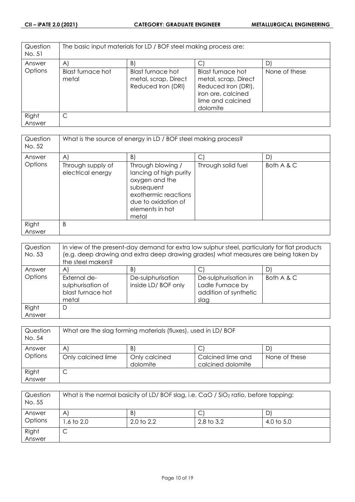| Question<br>No. 51 | The basic input materials for LD / BOF steel making process are: |                                                                 |                                                                                                                         |               |
|--------------------|------------------------------------------------------------------|-----------------------------------------------------------------|-------------------------------------------------------------------------------------------------------------------------|---------------|
| Answer             | $\mathsf{A}$                                                     | B)                                                              |                                                                                                                         | D'            |
| Options            | Blast furnace hot<br>metal                                       | Blast furnace hot<br>metal, scrap, Direct<br>Reduced Iron (DRI) | Blast furnace hot<br>metal, scrap, Direct<br>Reduced Iron (DRI),<br>iron ore, calcined<br>lime and calcined<br>dolomite | None of these |
| Right<br>Answer    | C                                                                |                                                                 |                                                                                                                         |               |

| Question<br>No. 52 | What is the source of energy in LD / BOF steel making process? |                                                                                                                                                        |                    |            |
|--------------------|----------------------------------------------------------------|--------------------------------------------------------------------------------------------------------------------------------------------------------|--------------------|------------|
| Answer             | $\mathsf{A}$                                                   | B                                                                                                                                                      | C                  | D)         |
| Options            | Through supply of<br>electrical energy                         | Through blowing /<br>lancing of high purity<br>oxygen and the<br>subsequent<br>exothermic reactions<br>due to oxidation of<br>elements in hot<br>metal | Through solid fuel | Both A & C |
| Right              | B                                                              |                                                                                                                                                        |                    |            |
| Answer             |                                                                |                                                                                                                                                        |                    |            |

| Question<br>No. 53 | In view of the present-day demand for extra low sulphur steel, particularly for flat products<br>(e.g. deep drawing and extra deep drawing grades) what measures are being taken by<br>the steel makers? |                                          |                                                                           |            |
|--------------------|----------------------------------------------------------------------------------------------------------------------------------------------------------------------------------------------------------|------------------------------------------|---------------------------------------------------------------------------|------------|
| Answer             | $\mathsf{A}$                                                                                                                                                                                             | $\vert B \vert$                          | $\mathsf{C}$                                                              | D)         |
| Options            | External de-<br>sulphurisation of<br>blast furnace hot<br>metal                                                                                                                                          | De-sulphurisation<br>inside LD/ BOF only | De-sulphurisation in<br>Ladle Furnace by<br>addition of synthetic<br>slag | Both A & C |
| Right              | D                                                                                                                                                                                                        |                                          |                                                                           |            |
| Answer             |                                                                                                                                                                                                          |                                          |                                                                           |            |

| Question<br>No. 54 | What are the slag forming materials (fluxes), used in LD/BOF |                           |                                        |               |
|--------------------|--------------------------------------------------------------|---------------------------|----------------------------------------|---------------|
| Answer             | A                                                            | B.                        |                                        |               |
| Options            | Only calcined lime                                           | Only calcined<br>dolomite | Calcined lime and<br>calcined dolomite | None of these |
| Right<br>Answer    | U                                                            |                           |                                        |               |

| Question<br>No. 55 | What is the normal basicity of LD/BOF slag, i.e. CaO / SiO <sub>2</sub> ratio, before tapping: |                       |              |            |
|--------------------|------------------------------------------------------------------------------------------------|-----------------------|--------------|------------|
| Answer             | $\mathsf{A}$                                                                                   | B.                    | ◡            | D.         |
| Options            | .6 to 2.0                                                                                      | $2.0 \text{ to } 2.2$ | 2.8 to $3.2$ | 4.0 to 5.0 |
| Right              | ◡                                                                                              |                       |              |            |
| Answer             |                                                                                                |                       |              |            |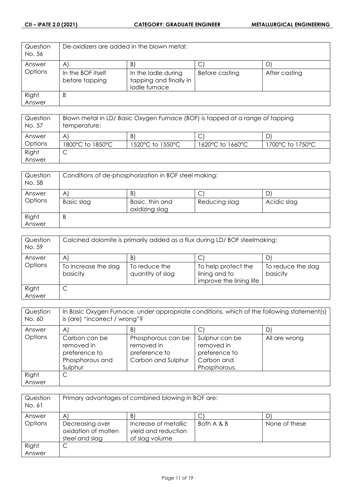| Question<br>No. 56 | De-oxidizers are added in the blown metal: |                                                                |                |               |
|--------------------|--------------------------------------------|----------------------------------------------------------------|----------------|---------------|
| Answer             | $\mathsf{A}$                               | B)                                                             |                |               |
| Options            | In the BOF itself<br>before tapping        | In the ladle during<br>tapping and finally in<br>ladle furnace | Before casting | After casting |
| Right              | Β                                          |                                                                |                |               |
| Answer             |                                            |                                                                |                |               |

| Question<br>No. 57 | Blown metal in LD/ Basic Oxygen Furnace (BOF) is tapped at a range of tapping<br>temperature: |                  |                  |                  |
|--------------------|-----------------------------------------------------------------------------------------------|------------------|------------------|------------------|
| Answer             | A                                                                                             | B)               |                  | D                |
| Options            | 1800°C to 1850°C                                                                              | 1520°C to 1550°C | 1620°C to 1660°C | 1700°C to 1750°C |
| Right              |                                                                                               |                  |                  |                  |
| Answer             |                                                                                               |                  |                  |                  |

| Question<br>No. 58 | Conditions of de-phosphorization in BOF steel making: |                                   |               |             |
|--------------------|-------------------------------------------------------|-----------------------------------|---------------|-------------|
| Answer             | A                                                     | B                                 | C             |             |
| Options            | Basic slag                                            | Basic, thin and<br>oxidizing slag | Reducing slag | Acidic slag |
| Right              | Β                                                     |                                   |               |             |
| Answer             |                                                       |                                   |               |             |

| Question<br>No. 59 | Calcined dolomite is primarily added as a flux during LD/BOF steelmaking: |                                   |                                                                 |                                |
|--------------------|---------------------------------------------------------------------------|-----------------------------------|-----------------------------------------------------------------|--------------------------------|
| Answer             | A                                                                         | B)                                | C                                                               |                                |
| Options            | To increase the slag<br>basicity                                          | To reduce the<br>quantity of slag | To help protect the<br>lining and to<br>improve the lining life | To reduce the slag<br>basicity |
| Right              | ◡                                                                         |                                   |                                                                 |                                |
| Answer             |                                                                           |                                   |                                                                 |                                |

| Question<br>No. 60 | In Basic Oxygen Furnace, under appropriate conditions, which of the following statement(s)<br>is (are) "incorrect / wrong"? |                                                                         |                                                                             |               |
|--------------------|-----------------------------------------------------------------------------------------------------------------------------|-------------------------------------------------------------------------|-----------------------------------------------------------------------------|---------------|
| Answer             | $\mathsf{A}$                                                                                                                | B)                                                                      |                                                                             |               |
| Options            | Carbon can be<br>removed in<br>preference to<br>Phosphorous and<br>Sulphur                                                  | Phosphorous can be<br>removed in<br>preference to<br>Carbon and Sulphur | Sulphur can be<br>removed in<br>preference to<br>Carbon and<br>Phosphorous. | All are wrong |
| Right<br>Answer    | С                                                                                                                           |                                                                         |                                                                             |               |

| Question<br>No. 61 | Primary advantages of combined blowing in BOF are:       |                                                               |            |               |
|--------------------|----------------------------------------------------------|---------------------------------------------------------------|------------|---------------|
| Answer             | A                                                        | B.                                                            |            |               |
| Options            | Decreasing over<br>oxidation of molten<br>steel and slag | Increase of metallic<br>yield and reduction<br>of slag volume | Both A & B | None of these |
| Right<br>Answer    | С                                                        |                                                               |            |               |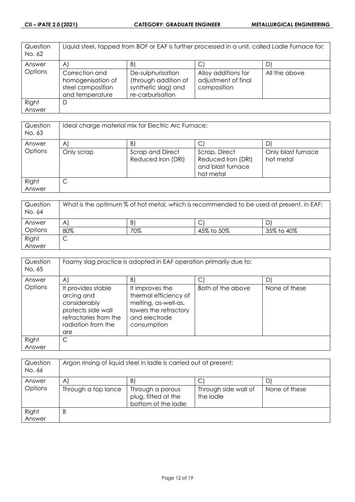| Question<br>No. 62 | Liquid steel, tapped from BOF or EAF is further processed in a unit, called Ladle Furnace for: |                                                                                      |                                                           |               |
|--------------------|------------------------------------------------------------------------------------------------|--------------------------------------------------------------------------------------|-----------------------------------------------------------|---------------|
| Answer             | $\mathsf{A}$                                                                                   | $\vert B \vert$                                                                      |                                                           |               |
| Options            | Correction and<br>homogenisation of<br>steel composition<br>and temperature                    | De-sulphurisation<br>(through addition of<br>synthetic slag) and<br>re-carburisation | Alloy additions for<br>adjustment of final<br>composition | All the above |
| Right              | D                                                                                              |                                                                                      |                                                           |               |
| Answer             |                                                                                                |                                                                                      |                                                           |               |

| Question<br>No. 63 | Ideal charge material mix for Electric Arc Furnace: |                                        |                                                                       |                                 |
|--------------------|-----------------------------------------------------|----------------------------------------|-----------------------------------------------------------------------|---------------------------------|
| Answer             | A                                                   | B)                                     |                                                                       |                                 |
| Options            | Only scrap                                          | Scrap and Direct<br>Reduced Iron (DRI) | Scrap, Direct<br>Reduced Iron (DRI)<br>and blast furnace<br>hot metal | Only blast furnace<br>hot metal |
| Right<br>Answer    | ◡                                                   |                                        |                                                                       |                                 |

| Question<br>No. 64 | What is the optimum % of hot metal, which is recommended to be used at present, in EAF: |     |            |            |
|--------------------|-----------------------------------------------------------------------------------------|-----|------------|------------|
| Answer             | A                                                                                       | B)  | ◡          | D          |
| Options            | 80%                                                                                     | 70% | 45% to 50% | 35% to 40% |
| Right              | ◡                                                                                       |     |            |            |
| Answer             |                                                                                         |     |            |            |

| Question<br>No. 65 | Foamy slag practice is adopted in EAF operation primarily due to:                                                            |                                                                                                                           |                   |               |
|--------------------|------------------------------------------------------------------------------------------------------------------------------|---------------------------------------------------------------------------------------------------------------------------|-------------------|---------------|
| Answer             | $\mathsf{A}$                                                                                                                 | B)                                                                                                                        |                   | D             |
| Options            | It provides stable<br>arcing and<br>considerably<br>protects side wall<br>refractories from the<br>radiation from the<br>are | It improves the<br>thermal efficiency of<br>melting, as-well-as,<br>lowers the refractory<br>and electrode<br>consumption | Both of the above | None of these |
| Right              | C                                                                                                                            |                                                                                                                           |                   |               |
| Answer             |                                                                                                                              |                                                                                                                           |                   |               |

| Question<br>No. 66 | Argon rinsing of liquid steel in ladle is carried out at present: |                                                                |                                   |               |
|--------------------|-------------------------------------------------------------------|----------------------------------------------------------------|-----------------------------------|---------------|
| Answer             | A                                                                 | B.                                                             |                                   | D             |
| Options            | Through a top lance                                               | Through a porous<br>plug, fitted at the<br>bottom of the ladle | Through side wall of<br>the ladle | None of these |
| Right              | B                                                                 |                                                                |                                   |               |
| Answer             |                                                                   |                                                                |                                   |               |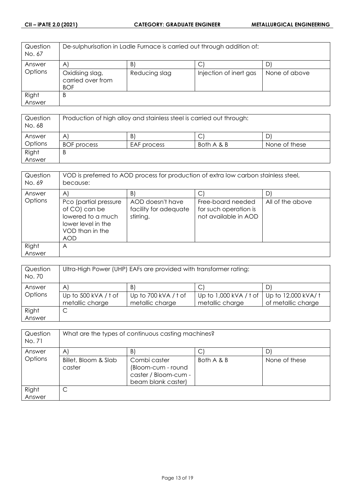| Question<br>No. 67 | De-sulphurisation in Ladle Furnace is carried out through addition of: |               |                        |               |
|--------------------|------------------------------------------------------------------------|---------------|------------------------|---------------|
| Answer             | $\mathsf{A}$                                                           | B.            |                        |               |
| Options            | Oxidising slag,<br>carried over from<br><b>BOF</b>                     | Reducing slag | Injection of inert gas | None of above |
| Right              | B                                                                      |               |                        |               |
| Answer             |                                                                        |               |                        |               |

| Question<br>No. 68 | Production of high alloy and stainless steel is carried out through: |             |            |               |
|--------------------|----------------------------------------------------------------------|-------------|------------|---------------|
| Answer             | A                                                                    | B           |            |               |
| Options            | <b>BOF</b> process                                                   | EAF process | Both A & B | None of these |
| Right              | B                                                                    |             |            |               |
| Answer             |                                                                      |             |            |               |

| Question<br>No. 69 | VOD is preferred to AOD process for production of extra low carbon stainless steel,<br>because:                    |                                                        |                                                                    |                  |
|--------------------|--------------------------------------------------------------------------------------------------------------------|--------------------------------------------------------|--------------------------------------------------------------------|------------------|
| Answer             | A                                                                                                                  | B)                                                     |                                                                    |                  |
| Options            | Pco (partial pressure<br>of CO) can be<br>lowered to a much<br>lower level in the<br>VOD than in the<br><b>AOD</b> | AOD doesn't have<br>facility for adequate<br>stirring. | Free-board needed<br>for such operation is<br>not available in AOD | All of the above |
| Right              | A                                                                                                                  |                                                        |                                                                    |                  |
| Answer             |                                                                                                                    |                                                        |                                                                    |                  |

| Question<br>No. 70 | Ultra-High Power (UHP) EAFs are provided with transformer rating: |                                         |                                             |                                          |
|--------------------|-------------------------------------------------------------------|-----------------------------------------|---------------------------------------------|------------------------------------------|
| Answer             | $\mathsf{A}$                                                      | B.                                      | $\mathsf{C}$                                | D                                        |
| Options            | Up to 500 kVA / t of<br>metallic charge                           | Up to 700 kVA / t of<br>metallic charge | Up to $1,000$ kVA / t of<br>metallic charge | Up to 12,000 kVA/t<br>of metallic charge |
| Right<br>Answer    | С                                                                 |                                         |                                             |                                          |

| Question<br>No. 71 | What are the types of continuous casting machines? |                                                                                  |            |               |
|--------------------|----------------------------------------------------|----------------------------------------------------------------------------------|------------|---------------|
| Answer             | $\mathsf{A}$                                       | B)                                                                               |            |               |
| Options            | Billet, Bloom & Slab<br>caster                     | Combi caster<br>(Bloom-cum - round<br>caster / Bloom-cum -<br>beam blank caster) | Both A & B | None of these |
| Right<br>Answer    | С                                                  |                                                                                  |            |               |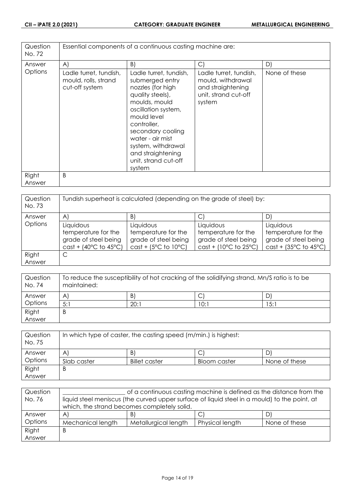| Question<br>No. 72 | Essential components of a continuous casting machine are:        |                                                                                                                                                                                                                                                                                |                                                                                                    |               |
|--------------------|------------------------------------------------------------------|--------------------------------------------------------------------------------------------------------------------------------------------------------------------------------------------------------------------------------------------------------------------------------|----------------------------------------------------------------------------------------------------|---------------|
| Answer             | A)                                                               | B)                                                                                                                                                                                                                                                                             | $\bigcirc$                                                                                         | D)            |
| Options            | Ladle turret, tundish,<br>mould, rolls, strand<br>cut-off system | Ladle turret, tundish,<br>submerged entry<br>nozzles (for high<br>quality steels),<br>moulds, mould<br>oscillation system,<br>mould level<br>controller,<br>secondary cooling<br>water - air mist<br>system, withdrawal<br>and straightening<br>unit, strand cut-off<br>system | Ladle turret, tundish,<br>mould, withdrawal<br>and straightening<br>unit, strand cut-off<br>system | None of these |
| Right              | B                                                                |                                                                                                                                                                                                                                                                                |                                                                                                    |               |
| Answer             |                                                                  |                                                                                                                                                                                                                                                                                |                                                                                                    |               |

| Question<br>No. 73 | Tundish superheat is calculated (depending on the grade of steel) by:               |                                                                                    |                                                                                     |                                                                                     |
|--------------------|-------------------------------------------------------------------------------------|------------------------------------------------------------------------------------|-------------------------------------------------------------------------------------|-------------------------------------------------------------------------------------|
| Answer             | A                                                                                   | B.                                                                                 |                                                                                     | D                                                                                   |
| Options            | Liquidous<br>temperature for the<br>grade of steel being<br>$cast + (40°C to 45°C)$ | Liquidous<br>temperature for the<br>grade of steel being<br>$cast + (5°C to 10°C)$ | Liquidous<br>temperature for the<br>grade of steel being<br>$cast + (10°C to 25°C)$ | Liquidous<br>temperature for the<br>grade of steel being<br>$cast + (35°C to 45°C)$ |
| Right<br>Answer    | С                                                                                   |                                                                                    |                                                                                     |                                                                                     |

| Question<br>No. 74 | To reduce the susceptibility of hot cracking of the solidifying strand, Mn/S ratio is to be<br>maintained: |      |      |       |
|--------------------|------------------------------------------------------------------------------------------------------------|------|------|-------|
| Answer             | A                                                                                                          | B)   |      |       |
| Options            | 5:1                                                                                                        | 20:1 | 10:1 | . 5:1 |
| Right              | Β                                                                                                          |      |      |       |
| Answer             |                                                                                                            |      |      |       |

| Question<br>No. 75 | In which type of caster, the casting speed (m/min.) is highest: |                      |              |               |
|--------------------|-----------------------------------------------------------------|----------------------|--------------|---------------|
| Answer             | A'                                                              | B.                   |              |               |
| <b>Options</b>     | Slab caster                                                     | <b>Billet caster</b> | Bloom caster | None of these |
| Right              | В                                                               |                      |              |               |
| Answer             |                                                                 |                      |              |               |

| Question | of a continuous casting machine is defined as the distance from the<br>liquid steel meniscus (the curved upper surface of liquid steel in a mould) to the point, at |                      |                 |               |
|----------|---------------------------------------------------------------------------------------------------------------------------------------------------------------------|----------------------|-----------------|---------------|
| No. 76   |                                                                                                                                                                     |                      |                 |               |
|          | which, the strand becomes completely solid.                                                                                                                         |                      |                 |               |
| Answer   | $\mathsf{A}$                                                                                                                                                        | B.                   | С               | D             |
| Options  | Mechanical length                                                                                                                                                   | Metallurgical length | Physical length | None of these |
| Right    | B                                                                                                                                                                   |                      |                 |               |
| Answer   |                                                                                                                                                                     |                      |                 |               |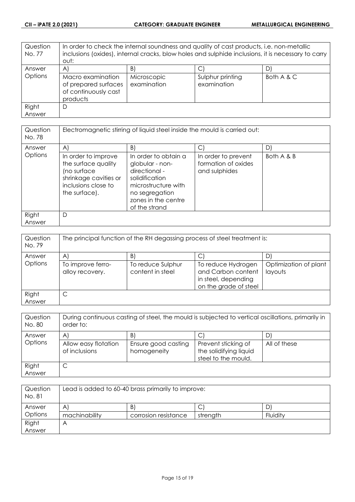| Question<br>No. 77 | In order to check the internal soundness and quality of cast products, i.e. non-metallic<br>inclusions (oxides), internal cracks, blow holes and sulphide inclusions, it is necessary to carry<br>out: |                            |                                 |            |
|--------------------|--------------------------------------------------------------------------------------------------------------------------------------------------------------------------------------------------------|----------------------------|---------------------------------|------------|
| Answer             | A)                                                                                                                                                                                                     | B)                         |                                 |            |
| Options            | Macro examination<br>of prepared surfaces<br>of continuously cast<br>products                                                                                                                          | Microscopic<br>examination | Sulphur printing<br>examination | Both A & C |
| Right              | D                                                                                                                                                                                                      |                            |                                 |            |
| Answer             |                                                                                                                                                                                                        |                            |                                 |            |

| Question<br>No. 78 | Electromagnetic stirring of liquid steel inside the mould is carried out:                                                  |                                                                                                                                                             |                                                             |            |
|--------------------|----------------------------------------------------------------------------------------------------------------------------|-------------------------------------------------------------------------------------------------------------------------------------------------------------|-------------------------------------------------------------|------------|
| Answer             | $\mathsf{A}$                                                                                                               | B)                                                                                                                                                          |                                                             | D          |
| Options            | In order to improve<br>the surface quality<br>(no surface<br>shrinkage cavities or<br>inclusions close to<br>the surface). | In order to obtain a<br>globular - non-<br>directional -<br>solidification<br>microstructure with<br>no segregation<br>zones in the centre<br>of the strand | In order to prevent<br>formation of oxides<br>and sulphides | Both A & B |
| Right<br>Answer    | D                                                                                                                          |                                                                                                                                                             |                                                             |            |

| Question<br>No. 79 | The principal function of the RH degassing process of steel treatment is: |                                       |                                                                                          |                                  |
|--------------------|---------------------------------------------------------------------------|---------------------------------------|------------------------------------------------------------------------------------------|----------------------------------|
| Answer             | Α                                                                         | B)                                    |                                                                                          |                                  |
| Options            | To improve ferro-<br>alloy recovery.                                      | To reduce Sulphur<br>content in steel | To reduce Hydrogen<br>and Carbon content<br>in steel, depending<br>on the grade of steel | Optimization of plant<br>layouts |
| Right<br>Answer    |                                                                           |                                       |                                                                                          |                                  |

| Question<br>No. 80 | During continuous casting of steel, the mould is subjected to vertical oscillations, primarily in<br>order to: |                                          |                                                                      |              |
|--------------------|----------------------------------------------------------------------------------------------------------------|------------------------------------------|----------------------------------------------------------------------|--------------|
| Answer<br>Options  | A<br>Allow easy flotation<br>of inclusions                                                                     | B)<br>Ensure good casting<br>homogeneity | Prevent sticking of<br>the solidifying liquid<br>steel to the mould. | All of these |
| Right<br>Answer    | ◡                                                                                                              |                                          |                                                                      |              |

| Question<br>No. 81 | Lead is added to 60-40 brass primarily to improve: |                      |          |          |
|--------------------|----------------------------------------------------|----------------------|----------|----------|
| Answer             | Α                                                  | B)                   | ◡        |          |
| Options            | machinability                                      | corrosion resistance | strength | Fluidity |
| Right              | ٣                                                  |                      |          |          |
| Answer             |                                                    |                      |          |          |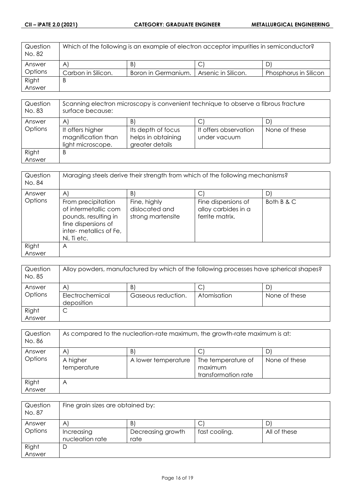| Question<br>No. 82 | Which of the following is an example of electron acceptor impurities in semiconductor? |                     |                     |                       |
|--------------------|----------------------------------------------------------------------------------------|---------------------|---------------------|-----------------------|
| Answer             | A'                                                                                     | B.                  |                     |                       |
| <b>Options</b>     | Carbon in Silicon.                                                                     | Boron in Germanium. | Arsenic in Silicon. | Phosphorus in Silicon |
| Right              | В                                                                                      |                     |                     |                       |
| Answer             |                                                                                        |                     |                     |                       |

| Question<br>No. 83 | Scanning electron microscopy is convenient technique to observe a fibrous fracture<br>surface because: |                    |                       |               |
|--------------------|--------------------------------------------------------------------------------------------------------|--------------------|-----------------------|---------------|
| Answer             | A                                                                                                      | B.                 |                       |               |
| Options            | It offers higher                                                                                       | Its depth of focus | It offers observation | None of these |
|                    | magnification than                                                                                     | helps in obtaining | under vacuum          |               |
|                    | light microscope.                                                                                      | greater details    |                       |               |
| Right              | B                                                                                                      |                    |                       |               |
| Answer             |                                                                                                        |                    |                       |               |

| Question<br>No. 84 | Maraging steels derive their strength from which of the following mechanisms?                                                      |                                                     |                                                               |            |
|--------------------|------------------------------------------------------------------------------------------------------------------------------------|-----------------------------------------------------|---------------------------------------------------------------|------------|
| Answer             | A                                                                                                                                  | B)                                                  |                                                               |            |
| Options            | From precipitation<br>of intermetallic com<br>pounds, resulting in<br>fine dispersions of<br>inter-metallics of Fe,<br>Ni, Ti etc. | Fine, highly<br>dislocated and<br>strong martensite | Fine dispersions of<br>alloy carbides in a<br>ferrite matrix. | Both B & C |
| Right              | Α                                                                                                                                  |                                                     |                                                               |            |
| Answer             |                                                                                                                                    |                                                     |                                                               |            |

| Question<br>No. 85 | Alloy powders, manufactured by which of the following processes have spherical shapes? |                    |             |               |
|--------------------|----------------------------------------------------------------------------------------|--------------------|-------------|---------------|
| Answer             | A                                                                                      | B                  |             |               |
| Options            | Electrochemical<br>deposition                                                          | Gaseous reduction. | Atomisation | None of these |
| Right<br>Answer    | ◡                                                                                      |                    |             |               |

| Question<br>No. 86 | As compared to the nucleation-rate maximum, the growth-rate maximum is at: |                     |                     |               |
|--------------------|----------------------------------------------------------------------------|---------------------|---------------------|---------------|
| Answer             | A                                                                          | B)                  |                     | D             |
| Options            | A higher                                                                   | A lower temperature | The temperature of  | None of these |
|                    | temperature                                                                |                     | maximum             |               |
|                    |                                                                            |                     | transformation rate |               |
| Right              | Α                                                                          |                     |                     |               |
| Answer             |                                                                            |                     |                     |               |

| Question<br>No. 87 | Fine grain sizes are obtained by:             |                                 |               |                   |
|--------------------|-----------------------------------------------|---------------------------------|---------------|-------------------|
| Answer<br>Options  | $\mathsf{A}$<br>Increasing<br>nucleation rate | B.<br>Decreasing growth<br>rate | fast cooling. | D<br>All of these |
| Right<br>Answer    | D                                             |                                 |               |                   |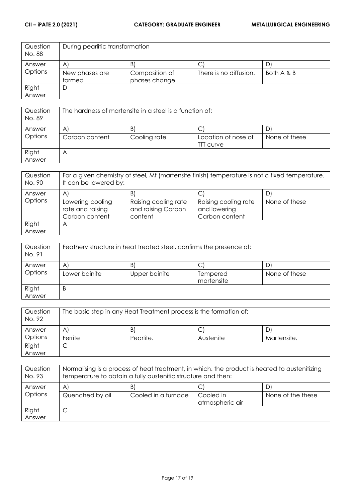| Question<br>No. 88 | During pearlitic transformation |                 |                        |            |
|--------------------|---------------------------------|-----------------|------------------------|------------|
| Answer             | $\mathsf{A}^{\mathsf{r}}$       | $\vert B \vert$ | ◡                      |            |
| Options            | New phases are                  | Composition of  | There is no diffusion. | Both A & B |
|                    | formed                          | phases change   |                        |            |
| Right              | D                               |                 |                        |            |
| Answer             |                                 |                 |                        |            |

| Question<br>No. 89 | The hardness of martensite in a steel is a function of: |                    |                                         |               |
|--------------------|---------------------------------------------------------|--------------------|-----------------------------------------|---------------|
| Answer<br>Options  | A<br>Carbon content                                     | B.<br>Cooling rate | Location of nose of<br><b>TTT</b> curve | None of these |
| Right<br>Answer    | А                                                       |                    |                                         |               |

| Question<br>No. 90 | For a given chemistry of steel, Mf (martensite finish) temperature is not a fixed temperature.<br>It can be lowered by: |                                                       |                                                        |               |
|--------------------|-------------------------------------------------------------------------------------------------------------------------|-------------------------------------------------------|--------------------------------------------------------|---------------|
| Answer             | A                                                                                                                       | B)                                                    |                                                        |               |
| Options            | Lowering cooling<br>rate and raising<br>Carbon content                                                                  | Raising cooling rate<br>and raising Carbon<br>content | Raising cooling rate<br>and lowering<br>Carbon content | None of these |
| Right<br>Answer    | А                                                                                                                       |                                                       |                                                        |               |

| Question<br>No. 91 | Feathery structure in heat treated steel, confirms the presence of: |               |                        |               |
|--------------------|---------------------------------------------------------------------|---------------|------------------------|---------------|
| Answer             | $\mathsf{A}$                                                        | B.            | C                      |               |
| Options            | Lower bainite                                                       | Upper bainite | Tempered<br>martensite | None of these |
| Right              | B                                                                   |               |                        |               |
| Answer             |                                                                     |               |                        |               |

| Question<br>No. 92 | The basic step in any Heat Treatment process is the formation of: |           |           |             |
|--------------------|-------------------------------------------------------------------|-----------|-----------|-------------|
| Answer             | A                                                                 | B)        | ◡         | D           |
| Options            | Ferrite                                                           | Pearlite. | Austenite | Martensite. |
| Right              | ◡                                                                 |           |           |             |
| Answer             |                                                                   |           |           |             |

| Question<br>No. 93 | Normalising is a process of heat treatment, in which, the product is heated to austenitizing<br>temperature to obtain a fully austenitic structure and then: |                     |                              |                   |
|--------------------|--------------------------------------------------------------------------------------------------------------------------------------------------------------|---------------------|------------------------------|-------------------|
| Answer             | A                                                                                                                                                            | B)                  | C.                           |                   |
| Options            | Quenched by oil                                                                                                                                              | Cooled in a furnace | Cooled in<br>atmospheric air | None of the these |
| Right<br>Answer    |                                                                                                                                                              |                     |                              |                   |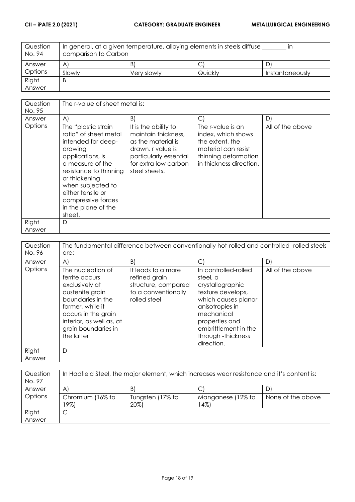| Question<br>No. 94 | In general, at a given temperature, alloying elements in steels diffuse<br>comparison to Carbon |             |         |                 |
|--------------------|-------------------------------------------------------------------------------------------------|-------------|---------|-----------------|
| Answer             | $\mathsf{A}$                                                                                    | Β           | ◡       | D.              |
| Options            | Slowly                                                                                          | Very slowly | Quickly | Instantaneously |
| Right              | Β                                                                                               |             |         |                 |
| Answer             |                                                                                                 |             |         |                 |

| Question<br>No. 95 | The r-value of sheet metal is:                                                                                                                                                                                                                                    |                                                                                                                                                           |                                                                                                                                      |                  |
|--------------------|-------------------------------------------------------------------------------------------------------------------------------------------------------------------------------------------------------------------------------------------------------------------|-----------------------------------------------------------------------------------------------------------------------------------------------------------|--------------------------------------------------------------------------------------------------------------------------------------|------------------|
| Answer             | $\mathsf{A}$                                                                                                                                                                                                                                                      | B)                                                                                                                                                        | $\bigcirc$                                                                                                                           | D)               |
| Options            | The "plastic strain<br>ratio" of sheet metal<br>intended for deep-<br>drawing<br>applications, is<br>a measure of the<br>resistance to thinning<br>or thickening<br>when subjected to<br>either tensile or<br>compressive forces<br>in the plane of the<br>sheet. | It is the ability to<br>maintain thickness,<br>as the material is<br>drawn. r value is<br>particularly essential<br>for extra low carbon<br>steel sheets. | The r-value is an<br>index, which shows<br>the extent, the<br>material can resist<br>thinning deformation<br>in thickness direction. | All of the above |
| Right<br>Answer    | D                                                                                                                                                                                                                                                                 |                                                                                                                                                           |                                                                                                                                      |                  |
|                    |                                                                                                                                                                                                                                                                   |                                                                                                                                                           |                                                                                                                                      |                  |

| Question<br>No. 96 | The fundamental difference between conventionally hot-rolled and controlled -rolled steels<br>are:                                                                                                        |                                                                                                   |                                                                                                                                                                                                                 |                  |
|--------------------|-----------------------------------------------------------------------------------------------------------------------------------------------------------------------------------------------------------|---------------------------------------------------------------------------------------------------|-----------------------------------------------------------------------------------------------------------------------------------------------------------------------------------------------------------------|------------------|
| Answer             | $\forall$                                                                                                                                                                                                 | B)                                                                                                | $\mathsf{C}$                                                                                                                                                                                                    | D)               |
| Options            | The nucleation of<br>ferrite occurs<br>exclusively at<br>austenite grain<br>boundaries in the<br>former, while it<br>occurs in the grain<br>interior, as well as, at<br>grain boundaries in<br>the latter | It leads to a more<br>refined grain<br>structure, compared<br>to a conventionally<br>rolled steel | In controlled-rolled<br>steel, a<br>crystallographic<br>texture develops,<br>which causes planar<br>anisotropies in<br>mechanical<br>properties and<br>embrittlement in the<br>through -thickness<br>direction. | All of the above |
| Right<br>Answer    | D                                                                                                                                                                                                         |                                                                                                   |                                                                                                                                                                                                                 |                  |

| Question<br>No. 97 | In Hadfield Steel, the major element, which increases wear resistance and it's content is: |                          |                            |                   |
|--------------------|--------------------------------------------------------------------------------------------|--------------------------|----------------------------|-------------------|
| Answer             | A                                                                                          | B                        | U                          |                   |
| Options            | Chromium (16% to<br>19%)                                                                   | Tungsten (17% to<br>20%) | Manganese (12% to<br>$4\%$ | None of the above |
| Right              | ◡                                                                                          |                          |                            |                   |
| Answer             |                                                                                            |                          |                            |                   |